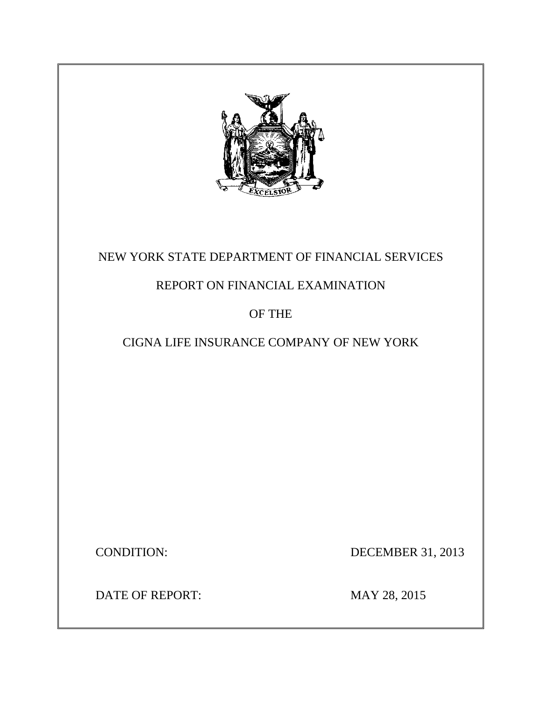

# NEW YORK STATE DEPARTMENT OF FINANCIAL SERVICES

# REPORT ON FINANCIAL EXAMINATION

# OF THE

# CIGNA LIFE INSURANCE COMPANY OF NEW YORK

**CONDITION:** 

DECEMBER 31, 2013

DATE OF REPORT: MAY 28, 2015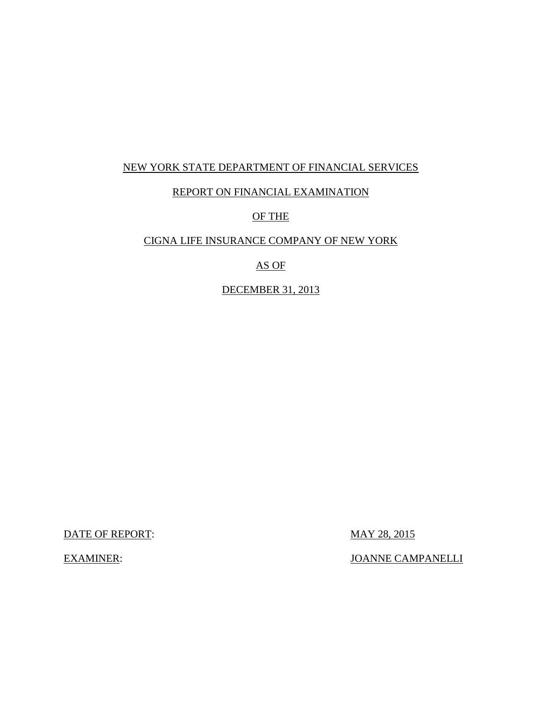### NEW YORK STATE DEPARTMENT OF FINANCIAL SERVICES

### REPORT ON FINANCIAL EXAMINATION

### OF THE

# CIGNA LIFE INSURANCE COMPANY OF NEW YORK

# AS OF

### DECEMBER 31, 2013

DATE OF REPORT: MAY 28, 2015

**EXAMINER:** 

**JOANNE CAMPANELLI**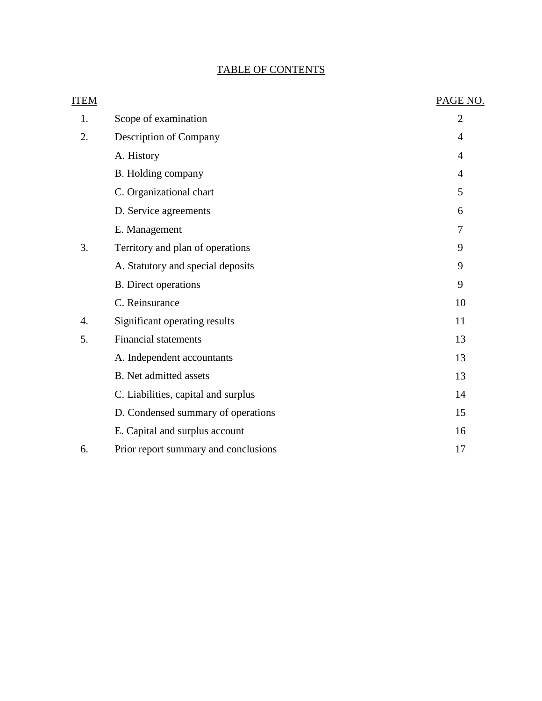# TABLE OF CONTENTS

| <b>ITEM</b> |                                      | PAGE NO.       |
|-------------|--------------------------------------|----------------|
| 1.          | Scope of examination                 | $\overline{2}$ |
| 2.          | Description of Company               | 4              |
|             | A. History                           | 4              |
|             | B. Holding company                   | 4              |
|             | C. Organizational chart              | 5              |
|             | D. Service agreements                | 6              |
|             | E. Management                        | 7              |
| 3.          | Territory and plan of operations     | 9              |
|             | A. Statutory and special deposits    | 9              |
|             | <b>B.</b> Direct operations          | 9              |
|             | C. Reinsurance                       | 10             |
| 4.          | Significant operating results        | 11             |
| 5.          | <b>Financial statements</b>          | 13             |
|             | A. Independent accountants           | 13             |
|             | <b>B.</b> Net admitted assets        | 13             |
|             | C. Liabilities, capital and surplus  | 14             |
|             | D. Condensed summary of operations   | 15             |
|             | E. Capital and surplus account       | 16             |
| 6.          | Prior report summary and conclusions | 17             |
|             |                                      |                |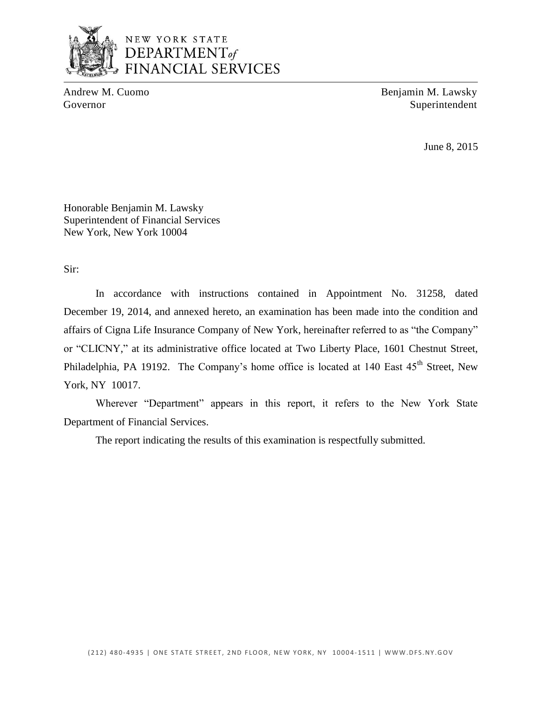

# NEW YORK STATE DEPARTMENT<sub>of</sub> **FINANCIAL SERVICES**

Andrew M. Cuomo Benjamin M. Lawsky Governor Superintendent

June 8, 2015

Honorable Benjamin M. Lawsky Superintendent of Financial Services New York, New York 10004

Sir:

 December 19, 2014, and annexed hereto, an examination has been made into the condition and affairs of Cigna Life Insurance Company of New York, hereinafter referred to as "the Company" or "CLICNY," at its administrative office located at Two Liberty Place, 1601 Chestnut Street, Philadelphia, PA 19192. The Company's home office is located at 140 East 45<sup>th</sup> Street, New In accordance with instructions contained in Appointment No. 31258, dated York, NY 10017.

Wherever "Department" appears in this report, it refers to the New York State Department of Financial Services.

The report indicating the results of this examination is respectfully submitted.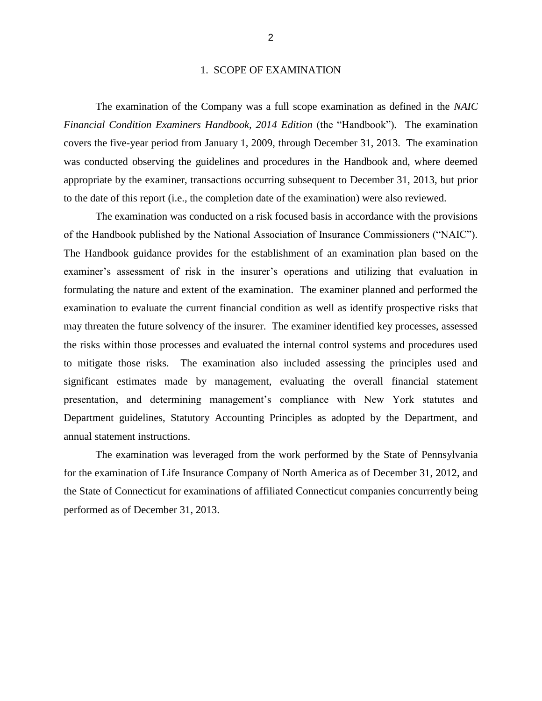#### 1. SCOPE OF EXAMINATION

<span id="page-4-0"></span> *Financial Condition Examiners Handbook, 2014 Edition* (the "Handbook")*.* The examination covers the five-year period from January 1, 2009, through December 31, 2013. The examination was conducted observing the guidelines and procedures in the Handbook and, where deemed appropriate by the examiner, transactions occurring subsequent to December 31, 2013, but prior The examination of the Company was a full scope examination as defined in the *NAIC*  to the date of this report (i.e., the completion date of the examination) were also reviewed.

 of the Handbook published by the National Association of Insurance Commissioners ("NAIC"). examiner's assessment of risk in the insurer's operations and utilizing that evaluation in formulating the nature and extent of the examination. The examiner planned and performed the examination to evaluate the current financial condition as well as identify prospective risks that may threaten the future solvency of the insurer. The examiner identified key processes, assessed to mitigate those risks. The examination also included assessing the principles used and significant estimates made by management, evaluating the overall financial statement presentation, and determining management's compliance with New York statutes and Department guidelines, Statutory Accounting Principles as adopted by the Department, and The examination was conducted on a risk focused basis in accordance with the provisions The Handbook guidance provides for the establishment of an examination plan based on the the risks within those processes and evaluated the internal control systems and procedures used annual statement instructions.

 for the examination of Life Insurance Company of North America as of December 31, 2012, and The examination was leveraged from the work performed by the State of Pennsylvania the State of Connecticut for examinations of affiliated Connecticut companies concurrently being performed as of December 31, 2013.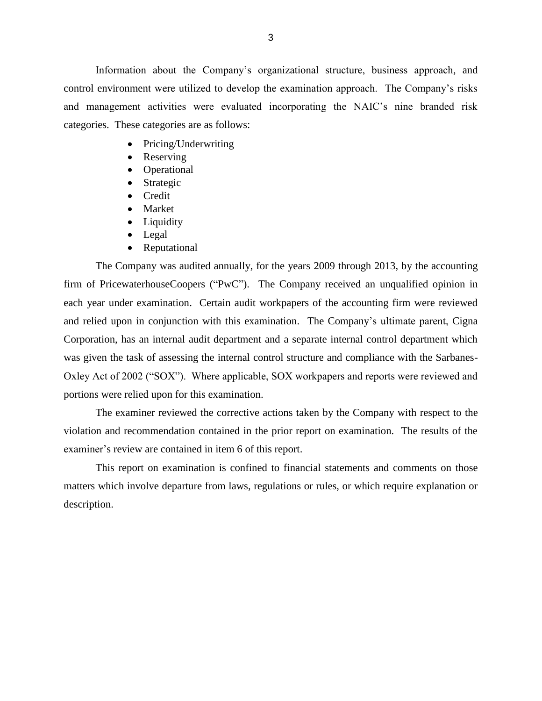Information about the Company's organizational structure, business approach, and control environment were utilized to develop the examination approach. The Company's risks and management activities were evaluated incorporating the NAIC's nine branded risk categories. These categories are as follows:

- Pricing/Underwriting
- Reserving
- Operational
- Strategic
- Credit
- Market
- Liquidity
- Legal
- Reputational

 The Company was audited annually, for the years 2009 through 2013, by the accounting firm of PricewaterhouseCoopers ("PwC"). The Company received an unqualified opinion in each year under examination. Certain audit workpapers of the accounting firm were reviewed and relied upon in conjunction with this examination. The Company's ultimate parent, Cigna Corporation, has an internal audit department and a separate internal control department which was given the task of assessing the internal control structure and compliance with the Sarbanes-Oxley Act of 2002 ("SOX"). Where applicable, SOX workpapers and reports were reviewed and portions were relied upon for this examination.

 violation and recommendation contained in the prior report on examination. The results of the examiner's review are contained in item 6 of this report. The examiner reviewed the corrective actions taken by the Company with respect to the

 matters which involve departure from laws, regulations or rules, or which require explanation or This report on examination is confined to financial statements and comments on those description.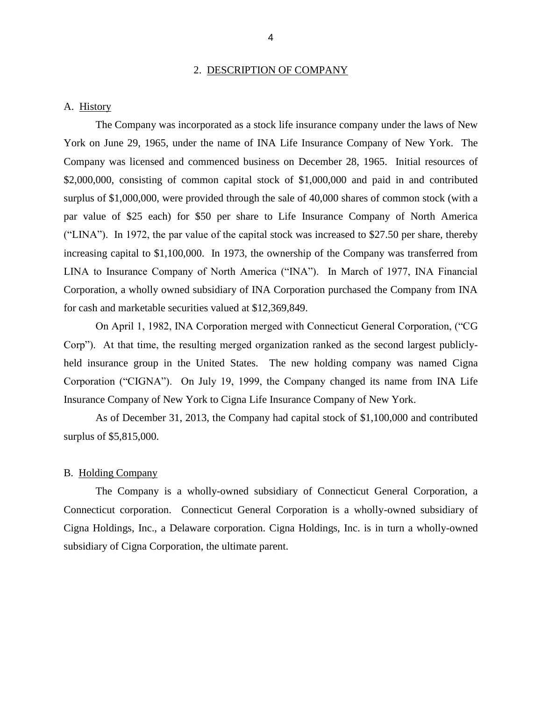#### 2. DESCRIPTION OF COMPANY

#### <span id="page-6-0"></span>A. History

 York on June 29, 1965, under the name of INA Life Insurance Company of New York. The Company was licensed and commenced business on December 28, 1965. Initial resources of \$2,000,000, consisting of common capital stock of \$1,000,000 and paid in and contributed surplus of \$1,000,000, were provided through the sale of 40,000 shares of common stock (with a par value of \$25 each) for \$50 per share to Life Insurance Company of North America LINA to Insurance Company of North America ("INA"). In March of 1977, INA Financial Corporation, a wholly owned subsidiary of INA Corporation purchased the Company from INA The Company was incorporated as a stock life insurance company under the laws of New ("LINA"). In 1972, the par value of the capital stock was increased to \$27.50 per share, thereby increasing capital to \$1,100,000. In 1973, the ownership of the Company was transferred from for cash and marketable securities valued at \$12,369,849.

 held insurance group in the United States. The new holding company was named Cigna Corporation ("CIGNA"). On July 19, 1999, the Company changed its name from INA Life Insurance Company of New York to Cigna Life Insurance Company of New York. On April 1, 1982, INA Corporation merged with Connecticut General Corporation, ("CG Corp"). At that time, the resulting merged organization ranked as the second largest publicly-

surplus of \$5,815,000. As of December 31, 2013, the Company had capital stock of \$1,100,000 and contributed

#### B. Holding Company

 Connecticut corporation. Connecticut General Corporation is a wholly-owned subsidiary of Cigna Holdings, Inc., a Delaware corporation. Cigna Holdings, Inc. is in turn a wholly-owned The Company is a wholly-owned subsidiary of Connecticut General Corporation, a subsidiary of Cigna Corporation, the ultimate parent.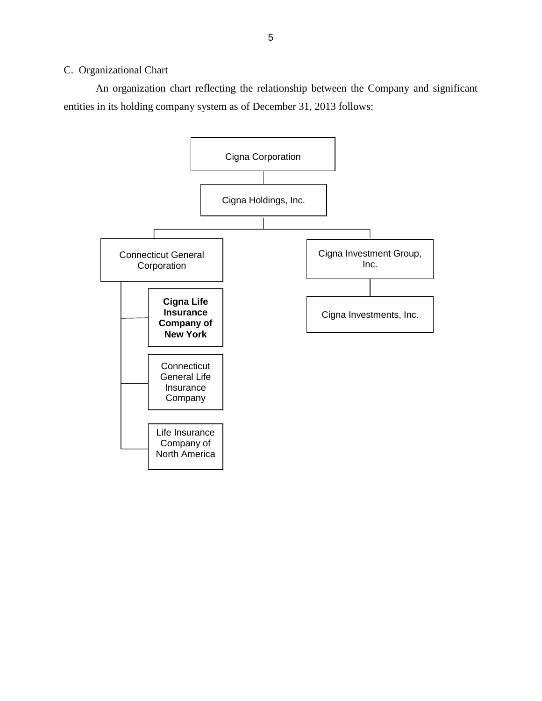#### <span id="page-7-0"></span>C. Organizational Chart

 An organization chart reflecting the relationship between the Company and significant entities in its holding company system as of December 31, 2013 follows:

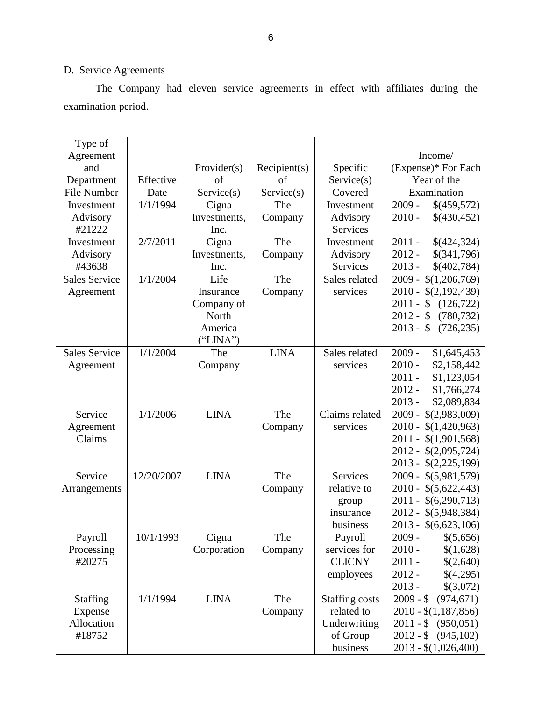# D. Service Agreements

The Company had eleven service agreements in effect with affiliates during the examination period.

| Type of              |            |              |              |                       |                           |
|----------------------|------------|--------------|--------------|-----------------------|---------------------------|
| Agreement            |            |              |              |                       | Income/                   |
| and                  |            | Provider(s)  | Recipient(s) | Specific              | (Expense)* For Each       |
| Department           | Effective  | of           | of           | Service(s)            | Year of the               |
| <b>File Number</b>   | Date       | Service(s)   | Service(s)   | Covered               | Examination               |
| Investment           | 1/1/1994   | Cigna        | The          | Investment            | $2009 -$<br>\$(459,572)   |
| Advisory             |            | Investments, | Company      | Advisory              | $2010 -$<br>\$(430,452)   |
| #21222               |            | Inc.         |              | <b>Services</b>       |                           |
| Investment           | 2/7/2011   | Cigna        | The          | Investment            | $2011 -$<br>\$(424,324)   |
| Advisory             |            | Investments, | Company      | Advisory              | $2012 -$<br>\$(341,796)   |
| #43638               |            | Inc.         |              | Services              | $2013 -$<br>\$(402,784)   |
| <b>Sales Service</b> | 1/1/2004   | Life         | The          | Sales related         | $2009 - $(1,206,769)$     |
| Agreement            |            | Insurance    | Company      | services              | $2010 - $(2,192,439)$     |
|                      |            | Company of   |              |                       | $2011 - $$<br>(126, 722)  |
|                      |            | North        |              |                       | $2012 - $$<br>(780, 732)  |
|                      |            | America      |              |                       | $2013 - $$<br>(726, 235)  |
|                      |            | ("LINA")     |              |                       |                           |
| <b>Sales Service</b> | 1/1/2004   | The          | <b>LINA</b>  | Sales related         | $2009 -$<br>\$1,645,453   |
| Agreement            |            | Company      |              | services              | $2010 -$<br>\$2,158,442   |
|                      |            |              |              |                       | $2011 -$<br>\$1,123,054   |
|                      |            |              |              |                       | $2012 -$<br>\$1,766,274   |
|                      |            |              |              |                       | $2013 -$<br>\$2,089,834   |
| Service              | 1/1/2006   | <b>LINA</b>  | The          | Claims related        | $2009 - $(2,983,009)$     |
| Agreement            |            |              | Company      | services              | $2010 -$<br>\$(1,420,963) |
| Claims               |            |              |              |                       | $2011 - $(1,901,568)$     |
|                      |            |              |              |                       | 2012 - \$(2,095,724)      |
|                      |            |              |              |                       | 2013 - \$(2,225,199)      |
| Service              | 12/20/2007 | <b>LINA</b>  | The          | <b>Services</b>       | 2009 -<br>\$(5,981,579)   |
| Arrangements         |            |              | Company      | relative to           | 2010 - \$(5,622,443)      |
|                      |            |              |              | group                 | $2011 - $(6,290,713)$     |
|                      |            |              |              | insurance             | 2012 - \$(5,948,384)      |
|                      |            |              |              | business              | $2013 - $(6,623,106)$     |
| Payroll              | 10/1/1993  | Cigna        | The          | Payroll               | 2009 -<br>\$(5,656)       |
| Processing           |            | Corporation  | Company      | services for          | $2010 -$<br>\$(1,628)     |
| #20275               |            |              |              | <b>CLICNY</b>         | $2011 -$<br>\$(2,640)     |
|                      |            |              |              | employees             | $2012 -$<br>\$(4,295)     |
|                      |            |              |              |                       | $2013 -$<br>\$(3,072)     |
| <b>Staffing</b>      | 1/1/1994   | <b>LINA</b>  | The          | <b>Staffing costs</b> | $2009 - $ (974,671)$      |
| Expense              |            |              | Company      | related to            | $2010 - $(1,187,856)$     |
| Allocation           |            |              |              | Underwriting          | $2011 - $ (950,051)$      |
| #18752               |            |              |              | of Group              | $2012 - $ (945,102)$      |
|                      |            |              |              | business              | $2013 - $(1,026,400)$     |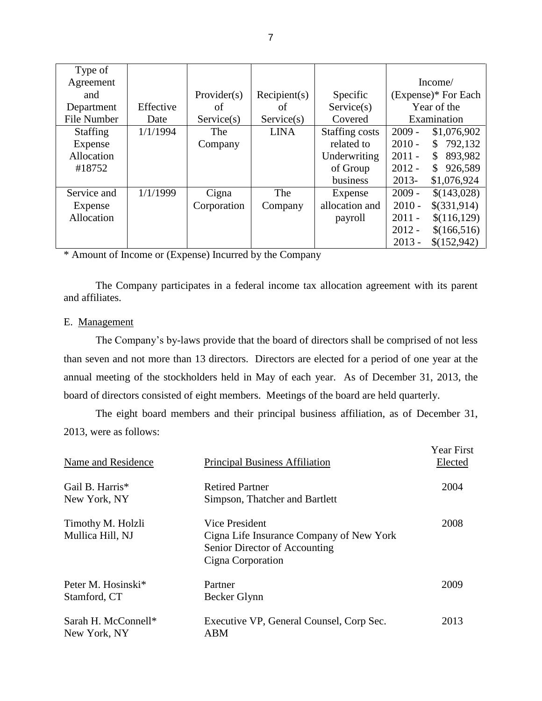| Type of            |           |             |              |                |                                     |
|--------------------|-----------|-------------|--------------|----------------|-------------------------------------|
| Agreement          |           |             |              |                | Income/                             |
| and                |           | Provider(s) | Recipient(s) | Specific       | (Expense)* For Each                 |
| Department         | Effective | of          | of           | Service(s)     | Year of the                         |
| <b>File Number</b> | Date      | Service(s)  | Service(s)   | Covered        | Examination                         |
| <b>Staffing</b>    | 1/1/1994  | The         | <b>LINA</b>  | Staffing costs | $2009 -$<br>\$1,076,902             |
| Expense            |           | Company     |              | related to     | 792,132<br>$2010 -$<br>\$           |
| Allocation         |           |             |              | Underwriting   | $2011 -$<br>893,982<br>S.           |
| #18752             |           |             |              | of Group       | $2012 -$<br>926,589<br>$\mathbb{S}$ |
|                    |           |             |              | business       | $2013-$<br>\$1,076,924              |
| Service and        | 1/1/1999  | Cigna       | The          | Expense        | $2009 -$<br>\$(143,028)             |
| Expense            |           | Corporation | Company      | allocation and | \$(331,914)<br>$2010 -$             |
| Allocation         |           |             |              | payroll        | $2011 -$<br>\$(116, 129)            |
|                    |           |             |              |                | $2012 -$<br>\$(166,516)             |
|                    |           |             |              |                | $2013 -$<br>\$(152,942)             |

\* Amount of Income or (Expense) Incurred by the Company

The Company participates in a federal income tax allocation agreement with its parent and affiliates.

#### E. Management

 The Company's by-laws provide that the board of directors shall be comprised of not less than seven and not more than 13 directors. Directors are elected for a period of one year at the annual meeting of the stockholders held in May of each year. As of December 31, 2013, the board of directors consisted of eight members. Meetings of the board are held quarterly.

The eight board members and their principal business affiliation, as of December 31, 2013, were as follows:

| Name and Residence                    | <b>Principal Business Affiliation</b>                                                                            | <b>Year First</b><br>Elected |
|---------------------------------------|------------------------------------------------------------------------------------------------------------------|------------------------------|
| Gail B. Harris*<br>New York, NY       | <b>Retired Partner</b><br>Simpson, Thatcher and Bartlett                                                         | 2004                         |
| Timothy M. Holzli<br>Mullica Hill, NJ | Vice President<br>Cigna Life Insurance Company of New York<br>Senior Director of Accounting<br>Cigna Corporation | 2008                         |
| Peter M. Hosinski*<br>Stamford, CT    | Partner<br>Becker Glynn                                                                                          | 2009                         |
| Sarah H. McConnell*<br>New York, NY   | Executive VP, General Counsel, Corp Sec.<br><b>ABM</b>                                                           | 2013                         |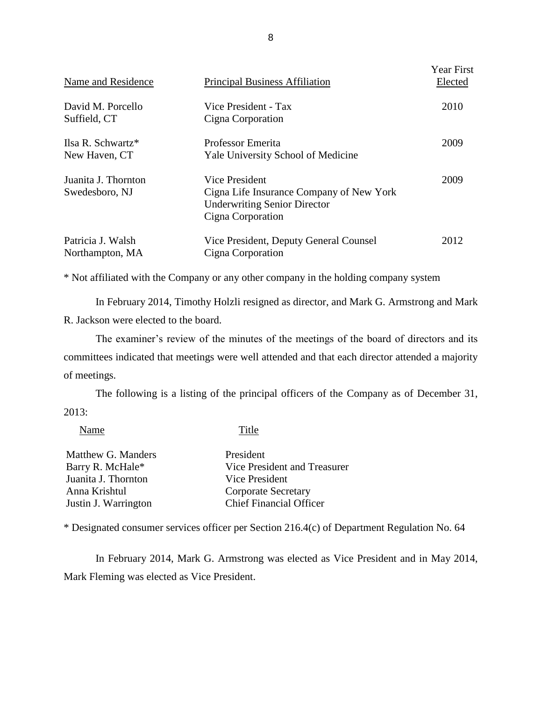| Name and Residence                             | <b>Principal Business Affiliation</b>                                                                                  | <b>Year First</b><br>Elected |
|------------------------------------------------|------------------------------------------------------------------------------------------------------------------------|------------------------------|
| David M. Porcello<br>Suffield, CT              | Vice President - Tax<br>Cigna Corporation                                                                              | 2010                         |
| Ilsa R. Schwartz <sup>*</sup><br>New Haven, CT | <b>Professor Emerita</b><br><b>Yale University School of Medicine</b>                                                  | 2009                         |
| Juanita J. Thornton<br>Swedesboro, NJ          | Vice President<br>Cigna Life Insurance Company of New York<br><b>Underwriting Senior Director</b><br>Cigna Corporation | 2009                         |
| Patricia J. Walsh<br>Northampton, MA           | Vice President, Deputy General Counsel<br>Cigna Corporation                                                            | 2012                         |

\* Not affiliated with the Company or any other company in the holding company system

 In February 2014, Timothy Holzli resigned as director, and Mark G. Armstrong and Mark R. Jackson were elected to the board.

 The examiner's review of the minutes of the meetings of the board of directors and its committees indicated that meetings were well attended and that each director attended a majority of meetings.

The following is a listing of the principal officers of the Company as of December 31, 2013:

Name Title

| President                      |
|--------------------------------|
| Vice President and Treasurer   |
| Vice President                 |
| Corporate Secretary            |
| <b>Chief Financial Officer</b> |
|                                |

\* Designated consumer services officer per Section 216.4(c) of Department Regulation No. 64

 In February 2014, Mark G. Armstrong was elected as Vice President and in May 2014, Mark Fleming was elected as Vice President.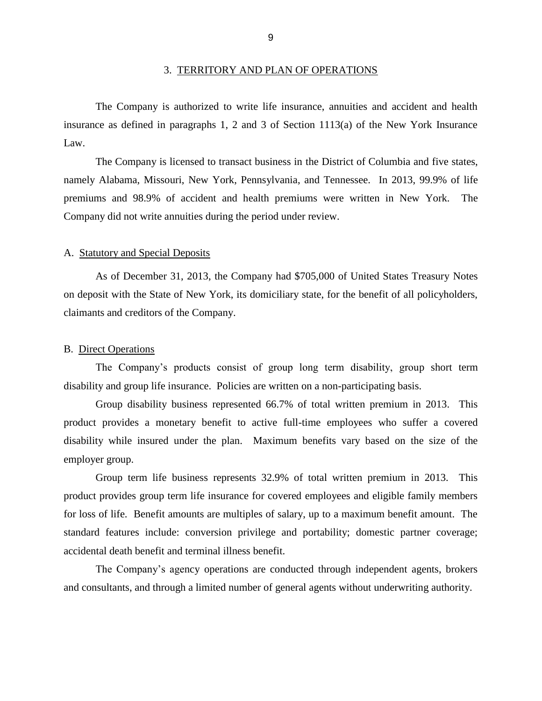<span id="page-11-0"></span> insurance as defined in paragraphs 1, 2 and 3 of Section 1113(a) of the New York Insurance The Company is authorized to write life insurance, annuities and accident and health Law.

 namely Alabama, Missouri, New York, Pennsylvania, and Tennessee. In 2013, 99.9% of life premiums and 98.9% of accident and health premiums were written in New York. The The Company is licensed to transact business in the District of Columbia and five states, Company did not write annuities during the period under review.

#### A. Statutory and Special Deposits

 As of December 31, 2013, the Company had \$705,000 of United States Treasury Notes on deposit with the State of New York, its domiciliary state, for the benefit of all policyholders, claimants and creditors of the Company.

#### B. Direct Operations

The Company's products consist of group long term disability, group short term disability and group life insurance. Policies are written on a non-participating basis.

 Group disability business represented 66.7% of total written premium in 2013. This product provides a monetary benefit to active full-time employees who suffer a covered disability while insured under the plan. Maximum benefits vary based on the size of the employer group.

 Group term life business represents 32.9% of total written premium in 2013. This product provides group term life insurance for covered employees and eligible family members for loss of life. Benefit amounts are multiples of salary, up to a maximum benefit amount. The standard features include: conversion privilege and portability; domestic partner coverage; accidental death benefit and terminal illness benefit.

The Company's agency operations are conducted through independent agents, brokers and consultants, and through a limited number of general agents without underwriting authority.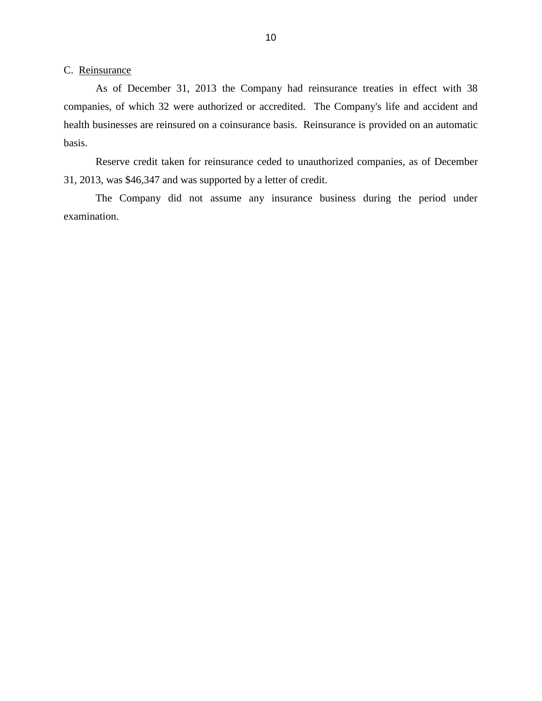<span id="page-12-0"></span>C. Reinsurance

 As of December 31, 2013 the Company had reinsurance treaties in effect with 38 companies, of which 32 were authorized or accredited. The Company's life and accident and health businesses are reinsured on a coinsurance basis. Reinsurance is provided on an automatic basis.

 Reserve credit taken for reinsurance ceded to unauthorized companies, as of December 31, 2013, was \$46,347 and was supported by a letter of credit.

 The Company did not assume any insurance business during the period under examination.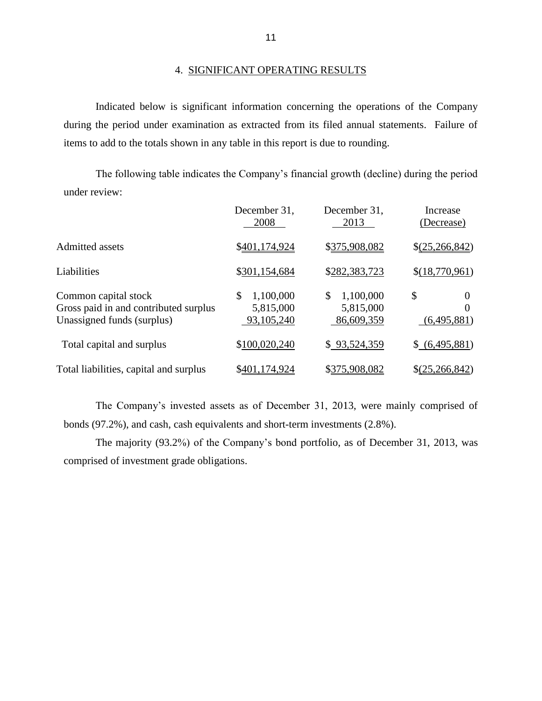#### 4. SIGNIFICANT OPERATING RESULTS

 during the period under examination as extracted from its filed annual statements. Failure of Indicated below is significant information concerning the operations of the Company items to add to the totals shown in any table in this report is due to rounding.

 The following table indicates the Company's financial growth (decline) during the period under review:

|                                                                                             | December 31,<br>2008                         | December 31,<br>2013                       | Increase<br>(Decrease)      |
|---------------------------------------------------------------------------------------------|----------------------------------------------|--------------------------------------------|-----------------------------|
| Admitted assets                                                                             | \$401,174,924                                | \$375,908,082                              | \$(25,266,842)              |
| Liabilities                                                                                 | \$301,154,684                                | \$282,383,723                              | \$(18,770,961)              |
| Common capital stock<br>Gross paid in and contributed surplus<br>Unassigned funds (surplus) | \$<br>1,100,000<br>5,815,000<br>93, 105, 240 | \$<br>1,100,000<br>5,815,000<br>86,609,359 | \$<br>0<br>0<br>(6,495,881) |
| Total capital and surplus                                                                   | \$100,020,240                                | \$93,524,359                               | \$ (6,495,881)              |
| Total liabilities, capital and surplus                                                      | \$401,174,924                                | \$375,908,082                              | $\S(25, 266, 842)$          |

 The Company's invested assets as of December 31, 2013, were mainly comprised of bonds (97.2%), and cash, cash equivalents and short-term investments (2.8%).

The majority (93.2%) of the Company's bond portfolio, as of December 31, 2013, was comprised of investment grade obligations.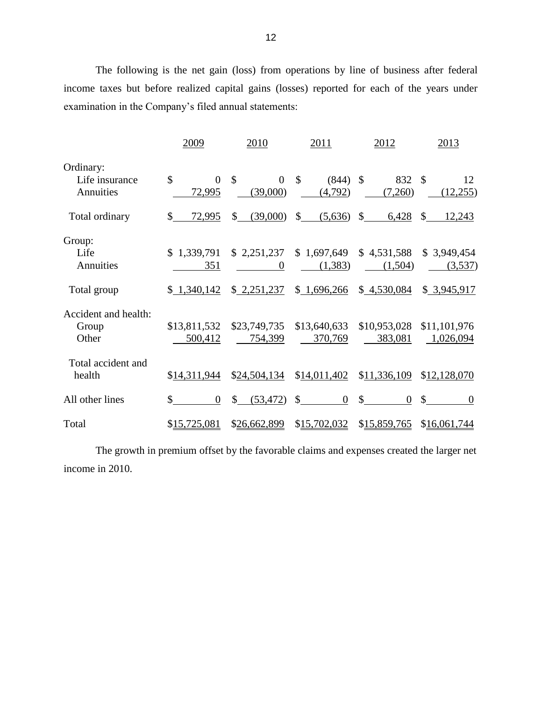The following is the net gain (loss) from operations by line of business after federal income taxes but before realized capital gains (losses) reported for each of the years under examination in the Company's filed annual statements:

|                                            | 2009                              | 2010                                   | 2011                                   | 2012                                  | 2013                                  |
|--------------------------------------------|-----------------------------------|----------------------------------------|----------------------------------------|---------------------------------------|---------------------------------------|
| Ordinary:<br>Life insurance<br>Annuities   | \$<br>$\overline{0}$<br>72,995    | $\mathcal{S}$<br>$\Omega$<br>(39,000)  | $\mathcal{S}$<br>$(844)$ \$<br>(4,792) | 832<br>(7,260)                        | -\$<br>12<br>(12,255)                 |
| Total ordinary                             | \$<br>72,995                      | (39,000)<br>\$                         | $\mathbb{S}$<br>(5,636)                | $\mathbb{S}$<br>6,428                 | $\mathcal{S}$<br>12,243               |
| Group:<br>Life<br>Annuities<br>Total group | \$1,339,791<br>351<br>\$1,340,142 | \$2,251,237<br>$\theta$<br>\$2,251,237 | \$1,697,649<br>(1,383)<br>\$1,696,266  | \$4,531,588<br>(1,504)<br>\$4,530,084 | \$3,949,454<br>(3,537)<br>\$3,945,917 |
| Accident and health:<br>Group<br>Other     | \$13,811,532<br>500,412           | \$23,749,735<br>754,399                | \$13,640,633<br>370,769                | \$10,953,028<br>383,081               | \$11,101,976<br>1,026,094             |
| Total accident and<br>health               | \$14,311,944                      | \$24,504,134                           | \$14,011,402                           | \$11,336,109                          | \$12,128,070                          |
| All other lines                            | $\mathbb{S}$<br>$\overline{0}$    | $\mathbb{S}$<br>(53, 472)              | $\sim$<br>$\overline{0}$               | $\underline{\$}$<br>$\overline{0}$    | $\mathbb{S}$<br>$\theta$              |
| Total                                      | \$15,725,081                      | \$26,662,899                           | \$15,702,032                           | \$15,859,765                          | \$16,061,744                          |

The growth in premium offset by the favorable claims and expenses created the larger net income in 2010.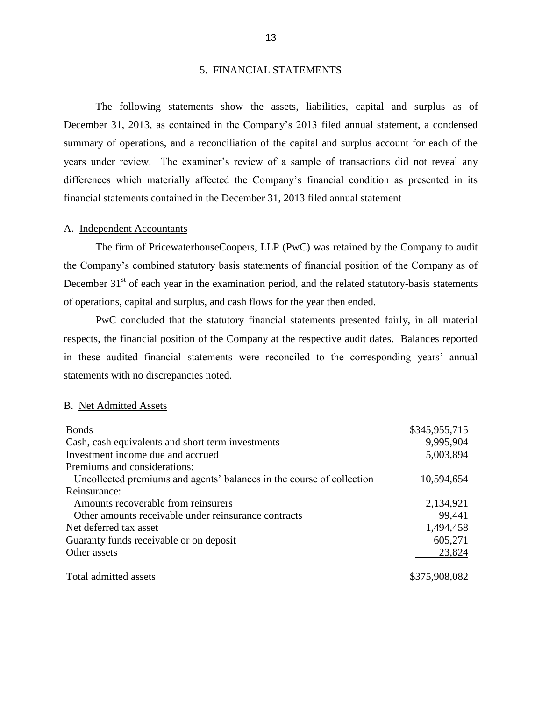#### 5. FINANCIAL STATEMENTS

 December 31, 2013, as contained in the Company's 2013 filed annual statement, a condensed summary of operations, and a reconciliation of the capital and surplus account for each of the years under review. The examiner's review of a sample of transactions did not reveal any The following statements show the assets, liabilities, capital and surplus as of differences which materially affected the Company's financial condition as presented in its financial statements contained in the December 31, 2013 filed annual statement

#### A. Independent Accountants

 the Company's combined statutory basis statements of financial position of the Company as of December  $31<sup>st</sup>$  of each year in the examination period, and the related statutory-basis statements The firm of PricewaterhouseCoopers, LLP (PwC) was retained by the Company to audit of operations, capital and surplus, and cash flows for the year then ended.

 respects, the financial position of the Company at the respective audit dates. Balances reported in these audited financial statements were reconciled to the corresponding years' annual PwC concluded that the statutory financial statements presented fairly, in all material statements with no discrepancies noted.

#### B. Net Admitted Assets

| <b>Bonds</b>                                                          | \$345,955,715 |
|-----------------------------------------------------------------------|---------------|
| Cash, cash equivalents and short term investments                     | 9,995,904     |
| Investment income due and accrued                                     | 5,003,894     |
| Premiums and considerations:                                          |               |
| Uncollected premiums and agents' balances in the course of collection | 10,594,654    |
| Reinsurance:                                                          |               |
| Amounts recoverable from reinsurers                                   | 2,134,921     |
| Other amounts receivable under reinsurance contracts                  | 99,441        |
| Net deferred tax asset                                                | 1,494,458     |
| Guaranty funds receivable or on deposit                               | 605,271       |
| Other assets                                                          | 23,824        |
| Total admitted assets                                                 | \$375,908,082 |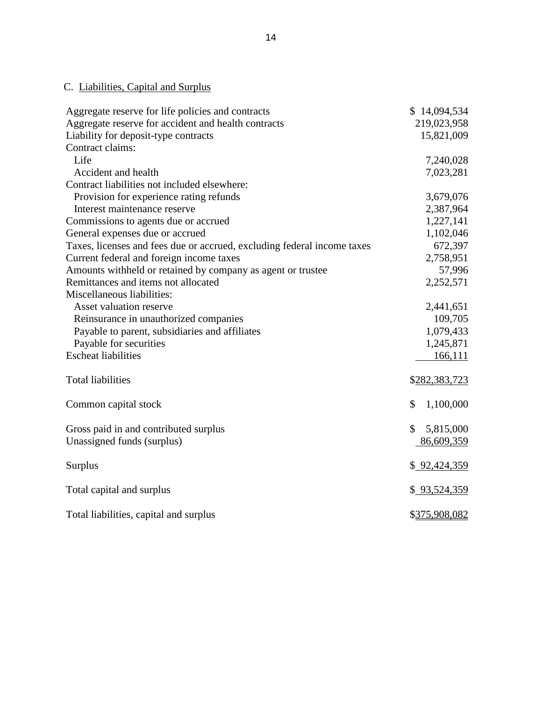# <span id="page-16-0"></span>C. Liabilities, Capital and Surplus

| Aggregate reserve for life policies and contracts                       | \$14,094,534                  |
|-------------------------------------------------------------------------|-------------------------------|
| Aggregate reserve for accident and health contracts                     | 219,023,958                   |
| Liability for deposit-type contracts                                    | 15,821,009                    |
| Contract claims:                                                        |                               |
| Life                                                                    | 7,240,028                     |
| Accident and health                                                     | 7,023,281                     |
| Contract liabilities not included elsewhere:                            |                               |
| Provision for experience rating refunds                                 | 3,679,076                     |
| Interest maintenance reserve                                            | 2,387,964                     |
| Commissions to agents due or accrued                                    | 1,227,141                     |
| General expenses due or accrued                                         | 1,102,046                     |
| Taxes, licenses and fees due or accrued, excluding federal income taxes | 672,397                       |
| Current federal and foreign income taxes                                | 2,758,951                     |
| Amounts withheld or retained by company as agent or trustee             | 57,996                        |
| Remittances and items not allocated                                     | 2,252,571                     |
| Miscellaneous liabilities:                                              |                               |
| Asset valuation reserve                                                 | 2,441,651                     |
| Reinsurance in unauthorized companies                                   | 109,705                       |
| Payable to parent, subsidiaries and affiliates                          | 1,079,433                     |
| Payable for securities                                                  | 1,245,871                     |
| <b>Escheat liabilities</b>                                              | 166,111                       |
| <b>Total liabilities</b>                                                | \$282,383,723                 |
| Common capital stock                                                    | \$<br>1,100,000               |
| Gross paid in and contributed surplus<br>Unassigned funds (surplus)     | \$<br>5,815,000<br>86,609,359 |
| Surplus                                                                 | \$ 92,424,359                 |
| Total capital and surplus                                               | \$93,524,359                  |
| Total liabilities, capital and surplus                                  | \$375,908,082                 |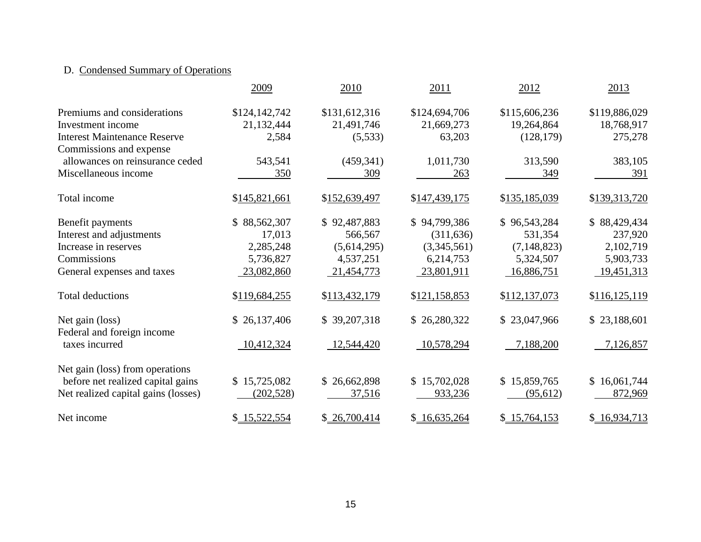# D. Condensed Summary of Operations

|                                               | 2009          | 2010          | 2011          | 2012          | 2013            |
|-----------------------------------------------|---------------|---------------|---------------|---------------|-----------------|
| Premiums and considerations                   | \$124,142,742 | \$131,612,316 | \$124,694,706 | \$115,606,236 | \$119,886,029   |
| Investment income                             | 21,132,444    | 21,491,746    | 21,669,273    | 19,264,864    | 18,768,917      |
| <b>Interest Maintenance Reserve</b>           | 2,584         | (5,533)       | 63,203        | (128, 179)    | 275,278         |
| Commissions and expense                       |               |               |               |               |                 |
| allowances on reinsurance ceded               | 543,541       | (459, 341)    | 1,011,730     | 313,590       | 383,105         |
| Miscellaneous income                          | 350           | 309           | 263           | 349           | 391             |
| Total income                                  | \$145,821,661 | \$152,639,497 | \$147,439,175 | \$135,185,039 | \$139,313,720   |
| Benefit payments                              | \$88,562,307  | \$92,487,883  | \$94,799,386  | \$96,543,284  | \$88,429,434    |
| Interest and adjustments                      | 17,013        | 566,567       | (311, 636)    | 531,354       | 237,920         |
| Increase in reserves                          | 2,285,248     | (5,614,295)   | (3,345,561)   | (7, 148, 823) | 2,102,719       |
| Commissions                                   | 5,736,827     | 4,537,251     | 6,214,753     | 5,324,507     | 5,903,733       |
| General expenses and taxes                    | 23,082,860    | 21,454,773    | 23,801,911    | 16,886,751    | 19,451,313      |
| <b>Total deductions</b>                       | \$119,684,255 | \$113,432,179 | \$121,158,853 | \$112,137,073 | \$116, 125, 119 |
| Net gain (loss)<br>Federal and foreign income | \$26,137,406  | \$39,207,318  | \$26,280,322  | \$23,047,966  | \$23,188,601    |
| taxes incurred                                | 10,412,324    | 12,544,420    | 10,578,294    | 7,188,200     | 7,126,857       |
| Net gain (loss) from operations               |               |               |               |               |                 |
| before net realized capital gains             | \$15,725,082  | \$26,662,898  | \$15,702,028  | \$15,859,765  | \$16,061,744    |
| Net realized capital gains (losses)           | (202, 528)    | 37,516        | 933,236       | (95,612)      | 872,969         |
| Net income                                    | \$15,522,554  | \$26,700,414  | \$16,635,264  | \$15,764,153  | \$16,934,713    |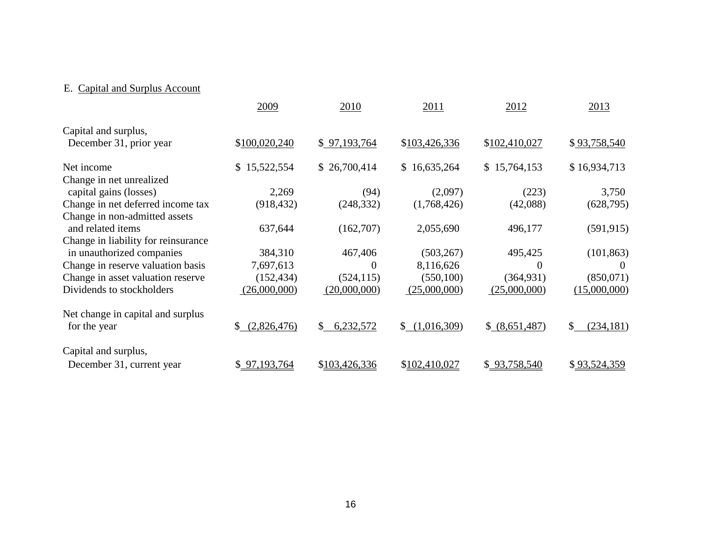# E. Capital and Surplus Account

|                                     | 2009              | 2010            | 2011          | 2012           | 2013             |
|-------------------------------------|-------------------|-----------------|---------------|----------------|------------------|
| Capital and surplus,                |                   |                 |               |                |                  |
| December 31, prior year             | \$100,020,240     | \$97,193,764    | \$103,426,336 | \$102,410,027  | \$93,758,540     |
| Net income                          | 15,522,554<br>S.  | \$26,700,414    | \$16,635,264  | \$15,764,153   | \$16,934,713     |
| Change in net unrealized            |                   |                 |               |                |                  |
| capital gains (losses)              | 2,269             | (94)            | (2,097)       | (223)          | 3,750            |
| Change in net deferred income tax   | (918, 432)        | (248, 332)      | (1,768,426)   | (42,088)       | (628, 795)       |
| Change in non-admitted assets       |                   |                 |               |                |                  |
| and related items                   | 637,644           | (162,707)       | 2,055,690     | 496,177        | (591, 915)       |
| Change in liability for reinsurance |                   |                 |               |                |                  |
| in unauthorized companies           | 384,310           | 467,406         | (503, 267)    | 495,425        | (101, 863)       |
| Change in reserve valuation basis   | 7,697,613         | $\theta$        | 8,116,626     | $\theta$       | $\theta$         |
| Change in asset valuation reserve   | (152, 434)        | (524, 115)      | (550, 100)    | (364, 931)     | (850,071)        |
| Dividends to stockholders           | (26,000,000)      | (20,000,000)    | (25,000,000)  | (25,000,000)   | (15,000,000)     |
| Net change in capital and surplus   |                   |                 |               |                |                  |
| for the year                        | (2,826,476)<br>S. | 6,232,572<br>\$ | \$(1,016,309) | \$ (8,651,487) | (234, 181)<br>\$ |
| Capital and surplus,                |                   |                 |               |                |                  |
| December 31, current year           | \$97,193,764      | \$103,426,336   | \$102,410,027 | \$93,758,540   | \$93,524,359     |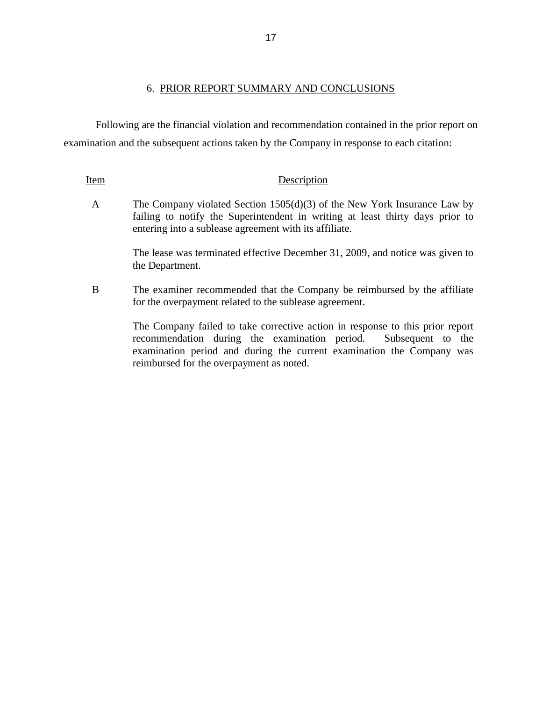Following are the financial violation and recommendation contained in the prior report on examination and the subsequent actions taken by the Company in response to each citation:

#### Item Description

A The Company violated Section 1505(d)(3) of the New York Insurance Law by failing to notify the Superintendent in writing at least thirty days prior to entering into a sublease agreement with its affiliate.

> The lease was terminated effective December 31, 2009, and notice was given to the Department.

 B The examiner recommended that the Company be reimbursed by the affiliate for the overpayment related to the sublease agreement.

> The Company failed to take corrective action in response to this prior report examination period and during the current examination the Company was recommendation during the examination period. Subsequent to the reimbursed for the overpayment as noted.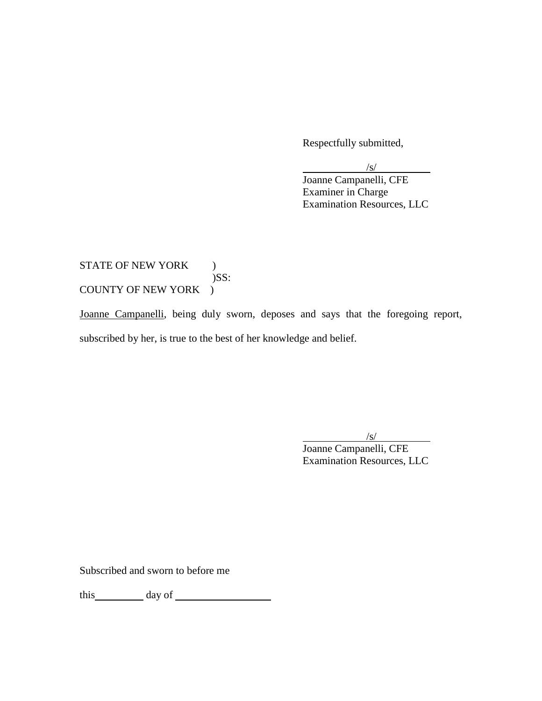Respectfully submitted,

 $/$ s/

Joanne Campanelli, CFE Examiner in Charge Examination Resources, LLC

### COUNTY OF NEW YORK ) STATE OF NEW YORK ) )SS:

COUNTY OF NEW YORK )<br>Joanne Campanelli, being duly sworn, deposes and says that the foregoing report, subscribed by her, is true to the best of her knowledge and belief.

> /s/ Joanne Campanelli, CFE Examination Resources, LLC

Subscribed and sworn to before me

this day of